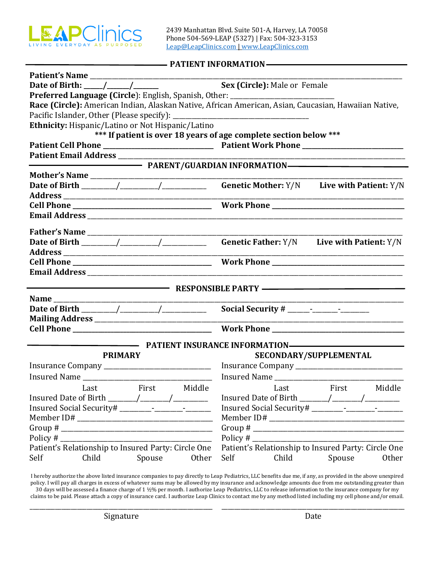

#### **PATIENT INFORMATION**

| Patient's Name                                                                                       |                                                                   |  |  |  |  |  |  |
|------------------------------------------------------------------------------------------------------|-------------------------------------------------------------------|--|--|--|--|--|--|
|                                                                                                      | Sex (Circle): Male or Female                                      |  |  |  |  |  |  |
| Preferred Language (Circle): English, Spanish, Other: __________________________                     |                                                                   |  |  |  |  |  |  |
| Race (Circle): American Indian, Alaskan Native, African American, Asian, Caucasian, Hawaiian Native, |                                                                   |  |  |  |  |  |  |
|                                                                                                      |                                                                   |  |  |  |  |  |  |
| Ethnicity: Hispanic/Latino or Not Hispanic/Latino                                                    |                                                                   |  |  |  |  |  |  |
|                                                                                                      | *** If patient is over 18 years of age complete section below *** |  |  |  |  |  |  |
|                                                                                                      |                                                                   |  |  |  |  |  |  |
|                                                                                                      |                                                                   |  |  |  |  |  |  |
|                                                                                                      |                                                                   |  |  |  |  |  |  |
|                                                                                                      |                                                                   |  |  |  |  |  |  |
|                                                                                                      |                                                                   |  |  |  |  |  |  |
|                                                                                                      |                                                                   |  |  |  |  |  |  |
|                                                                                                      |                                                                   |  |  |  |  |  |  |
|                                                                                                      |                                                                   |  |  |  |  |  |  |
|                                                                                                      |                                                                   |  |  |  |  |  |  |
|                                                                                                      |                                                                   |  |  |  |  |  |  |
|                                                                                                      |                                                                   |  |  |  |  |  |  |
|                                                                                                      |                                                                   |  |  |  |  |  |  |
|                                                                                                      |                                                                   |  |  |  |  |  |  |
|                                                                                                      |                                                                   |  |  |  |  |  |  |
| RESPONSIBLE PARTY ————————————————————                                                               |                                                                   |  |  |  |  |  |  |
|                                                                                                      |                                                                   |  |  |  |  |  |  |
|                                                                                                      |                                                                   |  |  |  |  |  |  |
|                                                                                                      |                                                                   |  |  |  |  |  |  |
|                                                                                                      |                                                                   |  |  |  |  |  |  |
|                                                                                                      | PATIENT INSURANCE INFORMATION————————————————————                 |  |  |  |  |  |  |
| <b>PRIMARY</b>                                                                                       | SECONDARY/SUPPLEMENTAL                                            |  |  |  |  |  |  |
| Insurance Company _________________________________ Insurance Company _____________________________  |                                                                   |  |  |  |  |  |  |
|                                                                                                      |                                                                   |  |  |  |  |  |  |
|                                                                                                      |                                                                   |  |  |  |  |  |  |
|                                                                                                      | Last First Middle <b>Example Last</b> First<br>Middle             |  |  |  |  |  |  |
|                                                                                                      |                                                                   |  |  |  |  |  |  |
|                                                                                                      |                                                                   |  |  |  |  |  |  |
|                                                                                                      |                                                                   |  |  |  |  |  |  |
| Policy #                                                                                             | Group # $\_$                                                      |  |  |  |  |  |  |
| Patient's Relationship to Insured Party: Circle One                                                  | Patient's Relationship to Insured Party: Circle One               |  |  |  |  |  |  |
| Self<br>Child<br>Spouse<br>Other                                                                     | Self<br>Child<br>Spouse<br>Other                                  |  |  |  |  |  |  |
|                                                                                                      |                                                                   |  |  |  |  |  |  |

I hereby authorize the above listed insurance companies to pay directly to Leap Pediatrics, LLC benefits due me, if any, as provided in the above unexpired policy. I will pay all charges in excess of whatever sums may be allowed by my insurance and acknowledge amounts due from me outstanding greater than 30 days will be assessed a finance charge of 1 ½% per month. I authorize Leap Pediatrics, LLC to release information to the insurance company for my claims to be paid. Please attach a copy of insurance card. I authorize Leap Clinics to contact me by any method listed including my cell phone and/or email.

\_\_\_\_\_\_\_\_\_\_\_\_\_\_\_\_\_\_\_\_\_\_\_\_\_\_\_\_\_\_\_\_\_\_\_\_\_\_\_\_\_\_\_\_\_\_\_\_\_\_\_\_\_\_\_\_\_\_ \_\_\_\_\_\_\_\_\_\_\_\_\_\_\_\_\_\_\_\_\_\_\_\_\_\_\_\_\_\_\_\_\_\_\_\_\_\_\_\_\_\_\_\_\_\_\_\_\_\_\_\_\_\_\_\_\_\_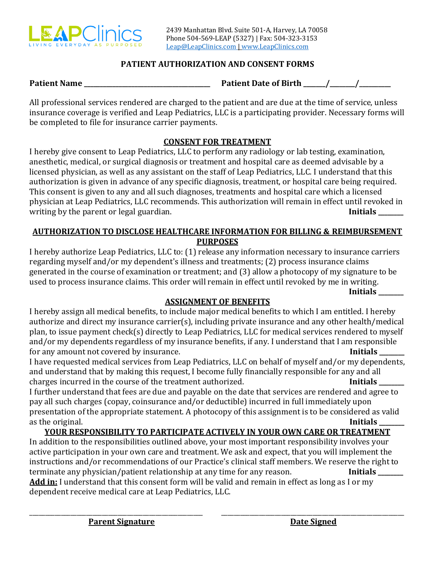

# **PATIENT AUTHORIZATION AND CONSENT FORMS**

**Patient Name Patient Date of Birth**  $\frac{1}{2}$  /

All professional services rendered are charged to the patient and are due at the time of service, unless insurance coverage is verified and Leap Pediatrics, LLC is a participating provider. Necessary forms will be completed to file for insurance carrier payments.

# **CONSENT FOR TREATMENT**

I hereby give consent to Leap Pediatrics, LLC to perform any radiology or lab testing, examination, anesthetic, medical, or surgical diagnosis or treatment and hospital care as deemed advisable by a licensed physician, as well as any assistant on the staff of Leap Pediatrics, LLC. I understand that this authorization is given in advance of any specific diagnosis, treatment, or hospital care being required. This consent is given to any and all such diagnoses, treatments and hospital care which a licensed physician at Leap Pediatrics, LLC recommends. This authorization will remain in effect until revoked in writing by the parent or legal guardian.

## **AUTHORIZATION TO DISCLOSE HEALTHCARE INFORMATION FOR BILLING & REIMBURSEMENT PURPOSES**

I hereby authorize Leap Pediatrics, LLC to: (1) release any information necessary to insurance carriers regarding myself and/or my dependent's illness and treatments; (2) process insurance claims generated in the course of examination or treatment; and (3) allow a photocopy of my signature to be used to process insurance claims. This order will remain in effect until revoked by me in writing. **Initials \_\_\_\_\_\_\_\_**

# **ASSIGNMENT OF BENEFITS**

I hereby assign all medical benefits, to include major medical benefits to which I am entitled. I hereby authorize and direct my insurance carrier(s), including private insurance and any other health/medical plan, to issue payment check(s) directly to Leap Pediatrics, LLC for medical services rendered to myself and/or my dependents regardless of my insurance benefits, if any. I understand that I am responsible for any amount not covered by insurance. **Initials** and the set of the set of the set of the set of the set of the set of the set of the set of the set of the set of the set of the set of the set of the set of the set of t

I have requested medical services from Leap Pediatrics, LLC on behalf of myself and/or my dependents, and understand that by making this request, I become fully financially responsible for any and all charges incurred in the course of the treatment authorized. **Initials \_\_\_\_\_\_\_\_**

I further understand that fees are due and payable on the date that services are rendered and agree to pay all such charges (copay, coinsurance and/or deductible) incurred in full immediately upon presentation of the appropriate statement. A photocopy of this assignment is to be considered as valid as the original. **Initials** and the original control of the original control of the original control of the original control of the original control of the original control of the original control of the original control o

# **YOUR RESPONSIBILITY TO PARTICIPATE ACTIVELY IN YOUR OWN CARE OR TREATMENT**

In addition to the responsibilities outlined above, your most important responsibility involves your active participation in your own care and treatment. We ask and expect, that you will implement the instructions and/or recommendations of our Practice's clinical staff members. We reserve the right to terminate any physician/patient relationship at any time for any reason. **Initials Add in:** I understand that this consent form will be valid and remain in effect as long as I or my dependent receive medical care at Leap Pediatrics, LLC.

\_\_\_\_\_\_\_\_\_\_\_\_\_\_\_\_\_\_\_\_\_\_\_\_\_\_\_\_\_\_\_\_\_\_\_\_\_\_\_\_\_\_\_\_\_\_\_\_\_\_\_\_\_\_\_ \_\_\_\_\_\_\_\_\_\_\_\_\_\_\_\_\_\_\_\_\_\_\_\_\_\_\_\_\_\_\_\_\_\_\_\_\_\_\_\_\_\_\_\_\_\_\_\_\_\_\_\_\_\_\_\_\_\_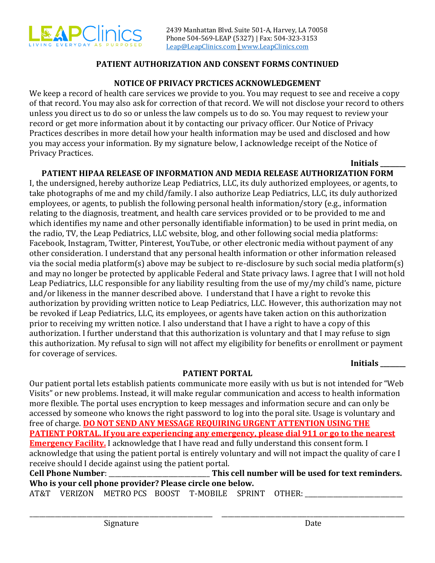

## **PATIENT AUTHORIZATION AND CONSENT FORMS CONTINUED**

#### **NOTICE OF PRIVACY PRCTICES ACKNOWLEDGEMENT**

We keep a record of health care services we provide to you. You may request to see and receive a copy of that record. You may also ask for correction of that record. We will not disclose your record to others unless you direct us to do so or unless the law compels us to do so. You may request to review your record or get more information about it by contacting our privacy officer. Our Notice of Privacy Practices describes in more detail how your health information may be used and disclosed and how you may access your information. By my signature below, I acknowledge receipt of the Notice of Privacy Practices.

# **Initials \_\_\_\_\_\_\_\_**

# **PATIENT HIPAA RELEASE OF INFORMATION AND MEDIA RELEASE AUTHORIZATION FORM**

I, the undersigned, hereby authorize Leap Pediatrics, LLC, its duly authorized employees, or agents, to take photographs of me and my child/family. I also authorize Leap Pediatrics, LLC, its duly authorized employees, or agents, to publish the following personal health information/story (e.g., information relating to the diagnosis, treatment, and health care services provided or to be provided to me and which identifies my name and other personally identifiable information) to be used in print media, on the radio, TV, the Leap Pediatrics, LLC website, blog, and other following social media platforms: Facebook, Instagram, Twitter, Pinterest, YouTube, or other electronic media without payment of any other consideration. I understand that any personal health information or other information released via the social media platform(s) above may be subject to re-disclosure by such social media platform(s) and may no longer be protected by applicable Federal and State privacy laws. I agree that I will not hold Leap Pediatrics, LLC responsible for any liability resulting from the use of my/my child's name, picture and/or likeness in the manner described above. I understand that I have a right to revoke this authorization by providing written notice to Leap Pediatrics, LLC. However, this authorization may not be revoked if Leap Pediatrics, LLC, its employees, or agents have taken action on this authorization prior to receiving my written notice. I also understand that I have a right to have a copy of this authorization. I further understand that this authorization is voluntary and that I may refuse to sign this authorization. My refusal to sign will not affect my eligibility for benefits or enrollment or payment for coverage of services.

**Initials \_\_\_\_\_\_\_\_**

### **PATIENT PORTAL**

Our patient portal lets establish patients communicate more easily with us but is not intended for "Web Visits" or new problems. Instead, it will make regular communication and access to health information more flexible. The portal uses encryption to keep messages and information secure and can only be accessed by someone who knows the right password to log into the poral site. Usage is voluntary and free of charge. **DO NOT SEND ANY MESSAGE REQUIRING URGENT ATTENTION USING THE PATIENT PORTAL. If you are experiencing any emergency, please dial 911 or go to the nearest Emergency Facility.** I acknowledge that I have read and fully understand this consent form. I acknowledge that using the patient portal is entirely voluntary and will not impact the quality of care I receive should I decide against using the patient portal. **Cell Phone Number**: \_\_\_\_\_\_\_\_\_\_\_\_\_\_\_\_\_\_\_\_\_\_\_\_\_\_\_\_\_\_\_\_ **This cell number will be used for text reminders.**

**Who is your cell phone provider? Please circle one below.**  AT&T VERIZON METRO PCS BOOST T-MOBILE SPRINT OTHER:

\_\_\_\_\_\_\_\_\_\_\_\_\_\_\_\_\_\_\_\_\_\_\_\_\_\_\_\_\_\_\_\_\_\_\_\_\_\_\_\_\_\_\_\_\_\_\_\_\_\_\_\_\_\_\_\_\_\_ \_\_\_\_\_\_\_\_\_\_\_\_\_\_\_\_\_\_\_\_\_\_\_\_\_\_\_\_\_\_\_\_\_\_\_\_\_\_\_\_\_\_\_\_\_\_\_\_\_\_\_\_\_\_\_\_\_\_

Signature Date